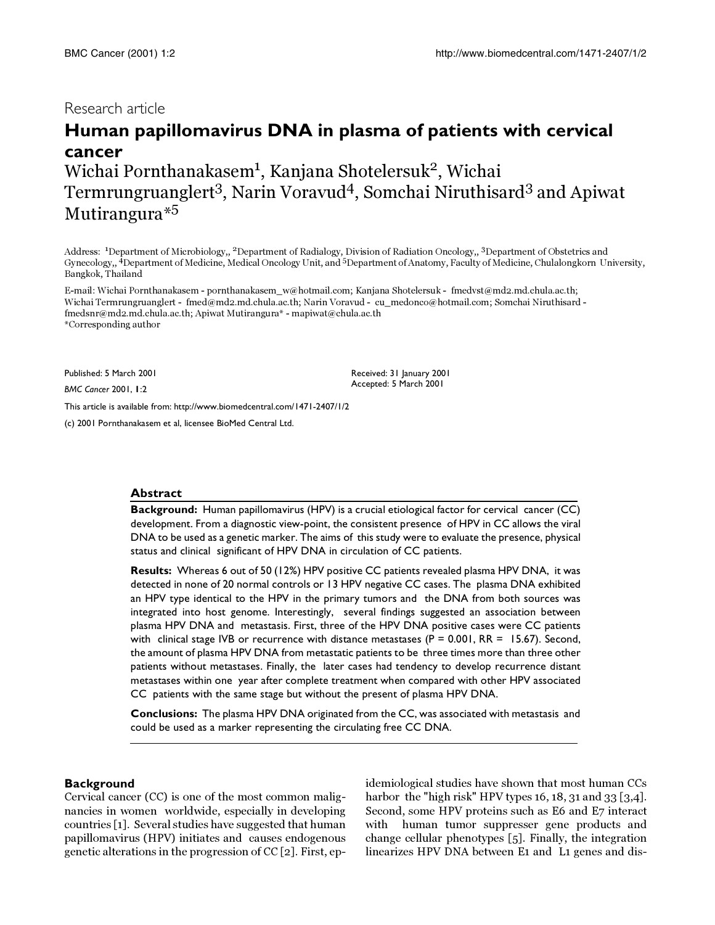## Research article

# **Human papillomavirus DNA in plasma of patients with cervical cancer**

Wichai Pornthanakasem<sup>1</sup>, Kanjana Shotelersuk<sup>2</sup>, Wichai Termrungruanglert<sup>3</sup>, Narin Voravud<sup>4</sup>, Somchai Niruthisard<sup>3</sup> and Apiwat Mutirangura\*<sup>5</sup>

Address: <sup>1</sup>Department of Microbiology,, <sup>2</sup>Department of Radialogy, Division of Radiation Oncology,, <sup>3</sup>Department of Obstetrics and Gynecology,, 4Department of Medicine, Medical Oncology Unit, and 5Department of Anatomy, Faculty of Medicine, Chulalongkorn University, Bangkok, Thailand

> Received: 31 January 2001 Accepted: 5 March 2001

E-mail: Wichai Pornthanakasem - pornthanakasem\_w@hotmail.com; Kanjana Shotelersuk - fmedvst@md2.md.chula.ac.th; Wichai Termrungruanglert - fmed@md2.md.chula.ac.th; Narin Voravud - cu\_medonco@hotmail.com; Somchai Niruthisard fmedsnr@md2.md.chula.ac.th; Apiwat Mutirangura\* - mapiwat@chula.ac.th \*Corresponding author

Published: 5 March 2001

*BMC Cancer* 2001, **1**:2

[This article is available from: http://www.biomedcentral.com/1471-2407/1/2](http://www.biomedcentral.com/1471-2407/1/2)

(c) 2001 Pornthanakasem et al, licensee BioMed Central Ltd.

#### **Abstract**

**Background:** Human papillomavirus (HPV) is a crucial etiological factor for cervical cancer (CC) development. From a diagnostic view-point, the consistent presence of HPV in CC allows the viral DNA to be used as a genetic marker. The aims of this study were to evaluate the presence, physical status and clinical significant of HPV DNA in circulation of CC patients.

**Results:** Whereas 6 out of 50 (12%) HPV positive CC patients revealed plasma HPV DNA, it was detected in none of 20 normal controls or 13 HPV negative CC cases. The plasma DNA exhibited an HPV type identical to the HPV in the primary tumors and the DNA from both sources was integrated into host genome. Interestingly, several findings suggested an association between plasma HPV DNA and metastasis. First, three of the HPV DNA positive cases were CC patients with clinical stage IVB or recurrence with distance metastases ( $P = 0.001$ , RR = 15.67). Second, the amount of plasma HPV DNA from metastatic patients to be three times more than three other patients without metastases. Finally, the later cases had tendency to develop recurrence distant metastases within one year after complete treatment when compared with other HPV associated CC patients with the same stage but without the present of plasma HPV DNA.

**Conclusions:** The plasma HPV DNA originated from the CC, was associated with metastasis and could be used as a marker representing the circulating free CC DNA.

#### **Background**

Cervical cancer (CC) is one of the most common malignancies in women worldwide, especially in developing countries [[1](#page-6-0)]. Several studies have suggested that human papillomavirus (HPV) initiates and causes endogenous genetic alterations in the progression of CC [[2](#page-6-1)]. First, epidemiological studies have shown that most human CCs harbor the "high risk" HPV types 16, 18, 31 and 33 [\[3](#page-6-2)[,4\]](#page-6-3). Second, some HPV proteins such as E6 and E7 interact with human tumor suppresser gene products and change cellular phenotypes [[5](#page-6-4)]. Finally, the integration linearizes HPV DNA between E1 and L1 genes and dis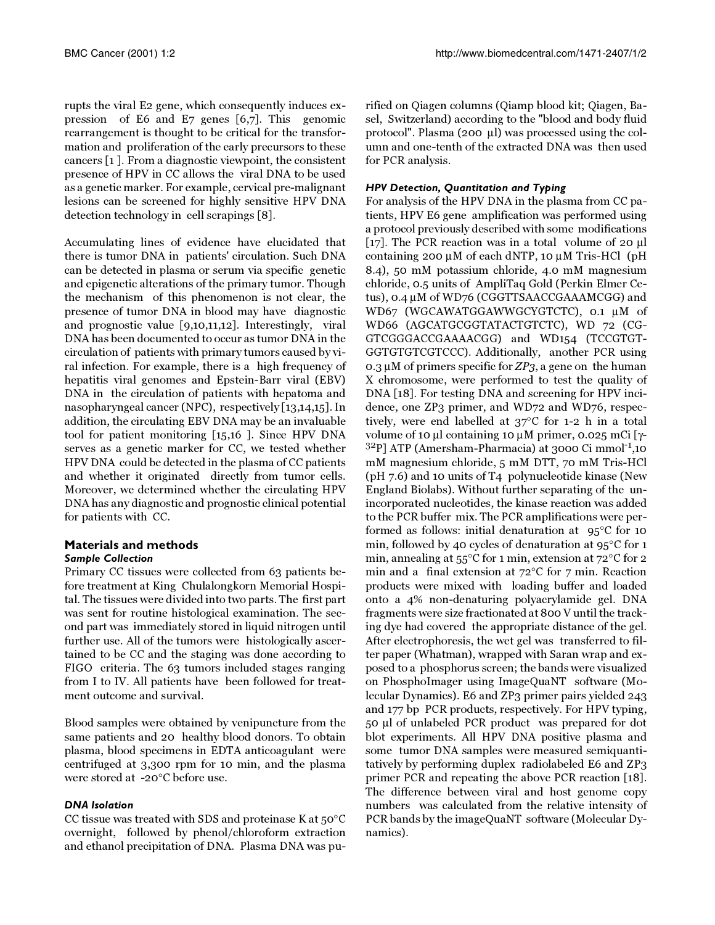rupts the viral E2 gene, which consequently induces expression of E6 and E7 genes [\[6](#page-6-5)[,7](#page-6-6)]. This genomic rearrangement is thought to be critical for the transformation and proliferation of the early precursors to these cancers [[1](#page-6-0) ]. From a diagnostic viewpoint, the consistent presence of HPV in CC allows the viral DNA to be used as a genetic marker. For example, cervical pre-malignant lesions can be screened for highly sensitive HPV DNA detection technology in cell scrapings [[8\]](#page-6-7).

Accumulating lines of evidence have elucidated that there is tumor DNA in patients' circulation. Such DNA can be detected in plasma or serum via specific genetic and epigenetic alterations of the primary tumor. Though the mechanism of this phenomenon is not clear, the presence of tumor DNA in blood may have diagnostic and prognostic value [\[9](#page-6-8)[,10](#page-6-9)[,11](#page-6-10)[,12\]](#page-6-11). Interestingly, viral DNA has been documented to occur as tumor DNA in the circulation of patients with primary tumors caused by viral infection. For example, there is a high frequency of hepatitis viral genomes and Epstein-Barr viral (EBV) DNA in the circulation of patients with hepatoma and nasopharyngeal cancer (NPC), respectively [[13](#page-6-12)[,14](#page-6-13)[,15](#page-6-14)]. In addition, the circulating EBV DNA may be an invaluable tool for patient monitoring [\[15](#page-6-14)[,16](#page-6-15) ]. Since HPV DNA serves as a genetic marker for CC, we tested whether HPV DNA could be detected in the plasma of CC patients and whether it originated directly from tumor cells. Moreover, we determined whether the circulating HPV DNA has any diagnostic and prognostic clinical potential for patients with CC.

## **Materials and methods**

## *Sample Collection*

Primary CC tissues were collected from 63 patients before treatment at King Chulalongkorn Memorial Hospital. The tissues were divided into two parts. The first part was sent for routine histological examination. The second part was immediately stored in liquid nitrogen until further use. All of the tumors were histologically ascertained to be CC and the staging was done according to FIGO criteria. The 63 tumors included stages ranging from I to IV. All patients have been followed for treatment outcome and survival.

Blood samples were obtained by venipuncture from the same patients and 20 healthy blood donors. To obtain plasma, blood specimens in EDTA anticoagulant were centrifuged at 3,300 rpm for 10 min, and the plasma were stored at -20°C before use.

## *DNA Isolation*

CC tissue was treated with SDS and proteinase K at 50°C overnight, followed by phenol/chloroform extraction and ethanol precipitation of DNA. Plasma DNA was purified on Qiagen columns (Qiamp blood kit; Qiagen, Basel, Switzerland) according to the "blood and body fluid protocol". Plasma (200 µl) was processed using the column and one-tenth of the extracted DNA was then used for PCR analysis.

## *HPV Detection, Quantitation and Typing*

For analysis of the HPV DNA in the plasma from CC patients, HPV E6 gene amplification was performed using a protocol previously described with some modifications [[17\]](#page-6-16). The PCR reaction was in a total volume of 20 µl containing 200 µM of each dNTP, 10 µM Tris-HCl (pH 8.4), 50 mM potassium chloride, 4.0 mM magnesium chloride, 0.5 units of AmpliTaq Gold (Perkin Elmer Cetus), 0.4 µM of WD76 (CGGTTSAACCGAAAMCGG) and WD67 (WGCAWATGGAWWGCYGTCTC), 0.1 µM of WD66 (AGCATGCGGTATACTGTCTC), WD 72 (CG-GTCGGGACCGAAAACGG) and WD154 (TCCGTGT-GGTGTGTCGTCCC). Additionally, another PCR using 0.3  $\mu$ M of primers specific for ZP3, a gene on the human X chromosome, were performed to test the quality of DNA [[18\]](#page-6-17). For testing DNA and screening for HPV incidence, one ZP3 primer, and WD72 and WD76, respectively, were end labelled at 37°C for 1-2 h in a total volume of 10 μl containing 10 μM primer, 0.025 mCi [γ-<br><sup>32</sup>P] ATP (Amersham-Pharmacia) at 3000 Ci mmol<sup>-1</sup>,10 mM magnesium chloride, 5 mM DTT, 70 mM Tris-HCl (pH 7.6) and 10 units of T4 polynucleotide kinase (New England Biolabs). Without further separating of the unincorporated nucleotides, the kinase reaction was added to the PCR buffer mix. The PCR amplifications were performed as follows: initial denaturation at 95°C for 10 min, followed by 40 cycles of denaturation at 95°C for 1 min, annealing at 55°C for 1 min, extension at 72°C for 2 min and a final extension at 72°C for 7 min. Reaction products were mixed with loading buffer and loaded onto a 4% non-denaturing polyacrylamide gel. DNA fragments were size fractionated at 800 V until the tracking dye had covered the appropriate distance of the gel. After electrophoresis, the wet gel was transferred to filter paper (Whatman), wrapped with Saran wrap and exposed to a phosphorus screen; the bands were visualized on PhosphoImager using ImageQuaNT software (Molecular Dynamics). E6 and ZP3 primer pairs yielded 243 and 177 bp PCR products, respectively. For HPV typing, 50 µl of unlabeled PCR product was prepared for dot blot experiments. All HPV DNA positive plasma and some tumor DNA samples were measured semiquantitatively by performing duplex radiolabeled E6 and ZP3 primer PCR and repeating the above PCR reaction [[18\]](#page-6-17). The difference between viral and host genome copy numbers was calculated from the relative intensity of PCR bands by the imageQuaNT software (Molecular Dynamics).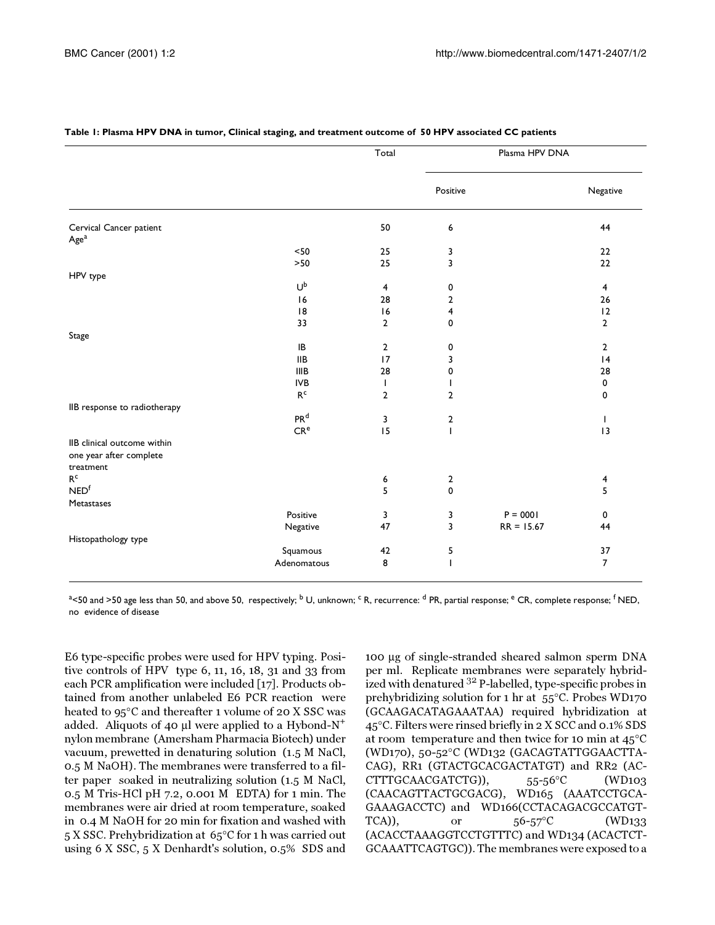|                              |                         | Total          | Plasma HPV DNA |              |                |
|------------------------------|-------------------------|----------------|----------------|--------------|----------------|
|                              |                         |                | Positive       |              | Negative       |
| Cervical Cancer patient      |                         | 50             | 6              |              | 44             |
| Age <sup>a</sup>             |                         |                |                |              |                |
|                              | $<50$                   | 25             | 3              |              | 22             |
|                              | $>50$                   | 25             | 3              |              | 22             |
| HPV type                     |                         |                |                |              |                |
|                              | Ub                      | $\overline{4}$ | 0              |              | $\overline{4}$ |
|                              | 16                      | 28             | $\overline{2}$ |              | 26             |
|                              | 8                       | 16             | 4              |              | 12             |
|                              | 33                      | $\overline{2}$ | 0              |              | $\overline{2}$ |
| Stage                        |                         |                |                |              |                |
|                              | IB                      | $\overline{2}$ | 0              |              | $\mathbf{2}$   |
|                              | <b>IIB</b>              | 17             | 3              |              | 4              |
|                              | <b>IIIB</b>             | 28             | 0              |              | 28             |
|                              | <b>IVB</b>              | T              |                |              | 0              |
|                              | $\mathsf{R}^\mathsf{c}$ | $\overline{2}$ | $\overline{2}$ |              | 0              |
| IIB response to radiotherapy |                         |                |                |              |                |
|                              | PR <sup>d</sup>         | 3              | $\overline{2}$ |              | $\mathbf{I}$   |
|                              | CR <sup>e</sup>         | 15             | T              |              | 13             |
| IIB clinical outcome within  |                         |                |                |              |                |
| one year after complete      |                         |                |                |              |                |
| treatment                    |                         |                |                |              |                |
| $\mathsf{R}^\mathsf{c}$      |                         | 6              | $\overline{2}$ |              | 4              |
| NED <sup>f</sup>             |                         | 5              | 0              |              | 5              |
| Metastases                   |                         |                |                |              |                |
|                              | Positive                | 3              | 3              | $P = 0001$   | 0              |
|                              | Negative                | 47             | 3              | $RR = 15.67$ | 44             |
| Histopathology type          |                         |                |                |              |                |
|                              | Squamous                | 42             | 5              |              | 37             |
|                              | Adenomatous             | 8              | ı              |              | $\overline{7}$ |

#### <span id="page-2-0"></span>**Table 1: Plasma HPV DNA in tumor, Clinical staging, and treatment outcome of 50 HPV associated CC patients**

<sup>a</sup><50 and >50 age less than 50, and above 50, respectively; <sup>b</sup> U, unknown; <sup>c</sup> R, recurrence: <sup>d</sup> PR, partial response; <sup>e</sup> CR, complete response; <sup>f</sup> NED, no evidence of disease

E6 type-specific probes were used for HPV typing. Positive controls of HPV type 6, 11, 16, 18, 31 and 33 from each PCR amplification were included [[17\]](#page-6-16). Products obtained from another unlabeled E6 PCR reaction were heated to 95°C and thereafter 1 volume of 20 X SSC was added. Aliquots of 40 µl were applied to a Hybond-N<sup>+</sup> nylon membrane (Amersham Pharmacia Biotech) under vacuum, prewetted in denaturing solution (1.5 M NaCl, 0.5 M NaOH). The membranes were transferred to a filter paper soaked in neutralizing solution (1.5 M NaCl, 0.5 M Tris-HCl pH 7.2, 0.001 M EDTA) for 1 min. The membranes were air dried at room temperature, soaked in 0.4 M NaOH for 20 min for fixation and washed with 5 X SSC. Prehybridization at 65°C for 1 h was carried out using 6 X SSC, 5 X Denhardt's solution, 0.5% SDS and

100 µg of single-stranded sheared salmon sperm DNA per ml. Replicate membranes were separately hybridized with denatured <sup>32</sup> P-labelled, type-specific probes in prehybridizing solution for 1 hr at 55°C. Probes WD170 (GCAAGACATAGAAATAA) required hybridization at 45°C. Filters were rinsed briefly in 2 X SCC and 0.1% SDS at room temperature and then twice for 10 min at 45°C (WD170), 50-52°C (WD132 (GACAGTATTGGAACTTA-CAG), RR1 (GTACTGCACGACTATGT) and RR2 (AC-CTTTGCAACGATCTG)), 55-56°C (WD103 (CAACAGTTACTGCGACG), WD165 (AAATCCTGCA-GAAAGACCTC) and WD166(CCTACAGACGCCATGT-TCA)), or  $56-57^{\circ}$ C (WD133 (ACACCTAAAGGTCCTGTTTC) and WD134 (ACACTCT-GCAAATTCAGTGC)). The membranes were exposed to a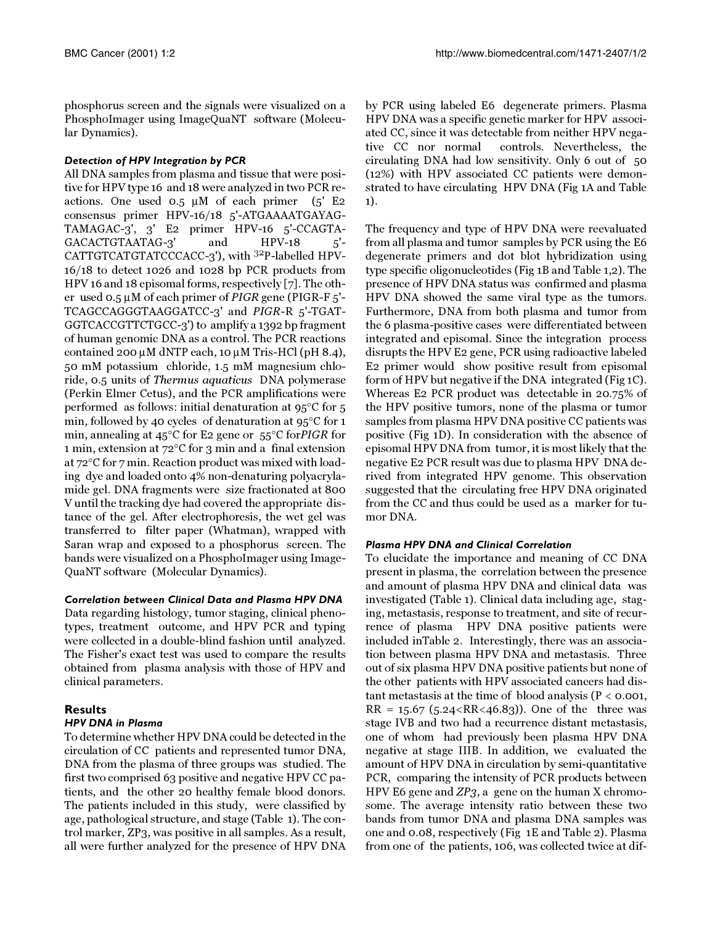phosphorus screen and the signals were visualized on a PhosphoImager using ImageQuaNT software (Molecular Dynamics).

## *Detection of HPV Integration by PCR*

All DNA samples from plasma and tissue that were positive for HPV type 16 and 18 were analyzed in two PCR reactions. One used  $0.5 \mu M$  of each primer  $(5'$  E2 consensus primer HPV-16/18 5'-ATGAAAATGAYAG-TAMAGAC-3', 3' E2 primer HPV-16 5'-CCAGTA-GACACTGTAATAG-3' and HPV-18 5'- CATTGTCATGTATCCCACC-3'), with 32P-labelled HPV-16/18 to detect 1026 and 1028 bp PCR products from HPV 16 and 18 episomal forms, respectively [[7\]](#page-6-6). The other used  $0.5 \mu$ M of each primer of *PIGR* gene (PIGR-F  $5'$ -TCAGCCAGGGTAAGGATCC-3' and PIGR-R 5'-TGAT-GGTCACCGTTCTGCC-3') to amplify a 1392 bp fragment of human genomic DNA as a control. The PCR reactions contained 200  $\mu$ M dNTP each, 10  $\mu$ M Tris-HCl (pH 8.4), 50 mM potassium chloride, 1.5 mM magnesium chloride, 0.5 units of Thermus aquaticus DNA polymerase (Perkin Elmer Cetus), and the PCR amplifications were performed as follows: initial denaturation at 95°C for 5 min, followed by 40 cycles of denaturation at 95°C for 1 min, annealing at 45°C for E2 gene or 55°C forPIGR for 1 min, extension at 72°C for 3 min and a final extension at 72°C for 7 min. Reaction product was mixed with loading dye and loaded onto 4% non-denaturing polyacrylamide gel. DNA fragments were size fractionated at 800 V until the tracking dye had covered the appropriate distance of the gel. After electrophoresis, the wet gel was transferred to filter paper (Whatman), wrapped with Saran wrap and exposed to a phosphorus screen. The bands were visualized on a PhosphoImager using Image-QuaNT software (Molecular Dynamics).

## *Correlation between Clinical Data and Plasma HPV DNA*

Data regarding histology, tumor staging, clinical phenotypes, treatment outcome, and HPV PCR and typing were collected in a double-blind fashion until analyzed. The Fisher's exact test was used to compare the results obtained from plasma analysis with those of HPV and clinical parameters.

#### **Results** *HPV DNA in Plasma*

To determine whether HPV DNA could be detected in the circulation of CC patients and represented tumor DNA, DNA from the plasma of three groups was studied. The first two comprised 63 positive and negative HPV CC patients, and the other 20 healthy female blood donors. The patients included in this study, were classified by age, pathological structure, and stage (Table [1\)](#page-2-0). The control marker, ZP3, was positive in all samples. As a result, all were further analyzed for the presence of HPV DNA

by PCR using labeled E6 degenerate primers. Plasma HPV DNA was a specific genetic marker for HPV associated CC, since it was detectable from neither HPV negative CC nor normal controls. Nevertheless, the circulating DNA had low sensitivity. Only 6 out of 50 (12%) with HPV associated CC patients were demonstrated to have circulating HPV DNA (Fig [1](#page-4-0)A and Table [1](#page-2-0)).

The frequency and type of HPV DNA were reevaluated from all plasma and tumor samples by PCR using the E6 degenerate primers and dot blot hybridization using type specific oligonucleotides (Fig [1](#page-4-0)B and Table [1](#page-2-0),[2](#page-5-0)). The presence of HPV DNA status was confirmed and plasma HPV DNA showed the same viral type as the tumors. Furthermore, DNA from both plasma and tumor from the 6 plasma-positive cases were differentiated between integrated and episomal. Since the integration process disrupts the HPV E2 gene, PCR using radioactive labeled E2 primer would show positive result from episomal form of HPV but negative if the DNA integrated (Fig [1](#page-4-0)C). Whereas E2 PCR product was detectable in 20.75% of the HPV positive tumors, none of the plasma or tumor samples from plasma HPV DNA positive CC patients was positive (Fig [1](#page-4-0)D). In consideration with the absence of episomal HPV DNA from tumor, it is most likely that the negative E2 PCR result was due to plasma HPV DNA derived from integrated HPV genome. This observation suggested that the circulating free HPV DNA originated from the CC and thus could be used as a marker for tumor DNA.

## *Plasma HPV DNA and Clinical Correlation*

To elucidate the importance and meaning of CC DNA present in plasma, the correlation between the presence and amount of plasma HPV DNA and clinical data was investigated (Table [1](#page-2-0)). Clinical data including age, staging, metastasis, response to treatment, and site of recurrence of plasma HPV DNA positive patients were included inTable [2.](#page-5-0) Interestingly, there was an association between plasma HPV DNA and metastasis. Three out of six plasma HPV DNA positive patients but none of the other patients with HPV associated cancers had distant metastasis at the time of blood analysis ( $P < 0.001$ ,  $RR = 15.67$  (5.24 <  $RR < 46.83$ )). One of the three was stage IVB and two had a recurrence distant metastasis, one of whom had previously been plasma HPV DNA negative at stage IIIB. In addition, we evaluated the amount of HPV DNA in circulation by semi-quantitative PCR, comparing the intensity of PCR products between HPV E6 gene and ZP3, a gene on the human X chromosome. The average intensity ratio between these two bands from tumor DNA and plasma DNA samples was one and 0.08, respectively (Fig [1](#page-4-0)E and Table [2](#page-5-0)). Plasma from one of the patients, 106, was collected twice at dif-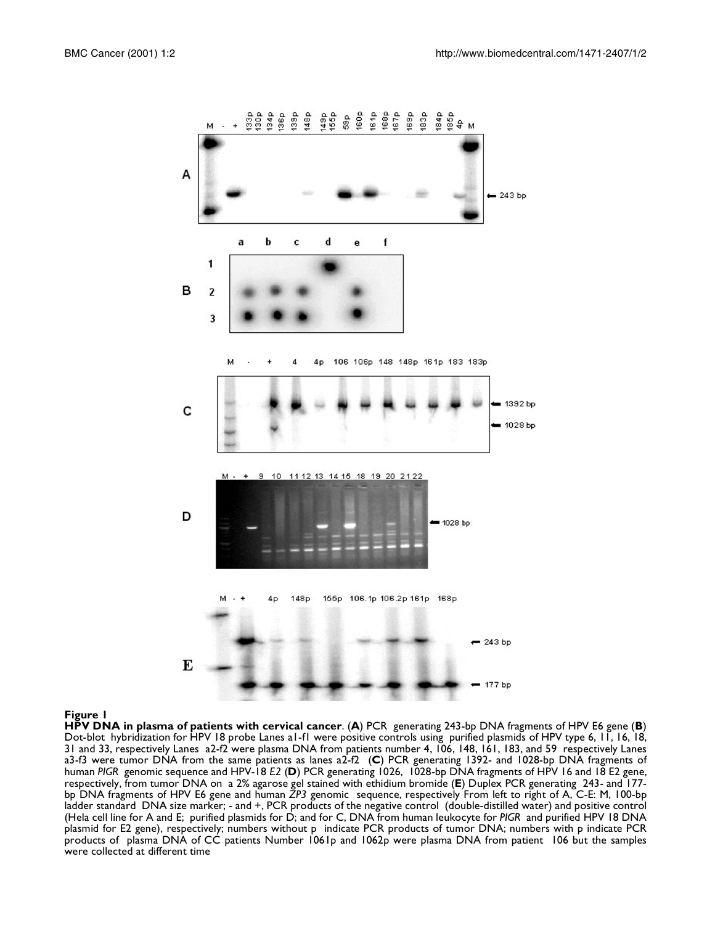<span id="page-4-0"></span>

#### **Figure 1**

**HPV DNA in plasma of patients with cervical cancer**. (**A**) PCR generating 243-bp DNA fragments of HPV E6 gene (**B**) Dot-blot hybridization for HPV 18 probe Lanes a1-f1 were positive controls using purified plasmids of HPV type 6, 11, 16, 18, 31 and 33, respectively Lanes a2-f2 were plasma DNA from patients number 4, 106, 148, 161, 183, and 59 respectively Lanes a3-f3 were tumor DNA from the same patients as lanes a2-f2 (**C**) PCR generating 1392- and 1028-bp DNA fragments of human *PIGR* genomic sequence and HPV-18 *E2* (**D**) PCR generating 1026, 1028-bp DNA fragments of HPV 16 and 18 E2 gene, respectively, from tumor DNA on a 2% agarose gel stained with ethidium bromide (**E**) Duplex PCR generating 243- and 177 bp DNA fragments of HPV E6 gene and human *ZP3* genomic sequence, respectively From left to right of A, C-E: M, 100-bp ladder standard DNA size marker; - and +, PCR products of the negative control (double-distilled water) and positive control (Hela cell line for A and E; purified plasmids for D; and for C, DNA from human leukocyte for *PIGR* and purified HPV 18 DNA plasmid for E2 gene), respectively; numbers without p indicate PCR products of tumor DNA; numbers with p indicate PCR products of plasma DNA of CC patients Number 1061p and 1062p were plasma DNA from patient 106 but the samples were collected at different time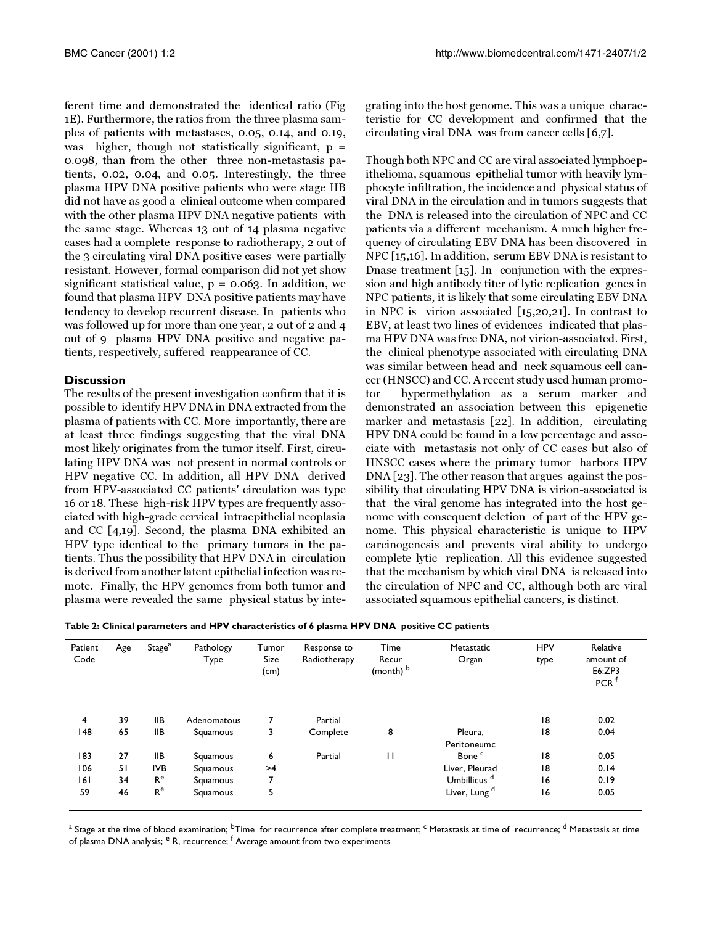ferent time and demonstrated the identical ratio (Fig [1](#page-4-0)E). Furthermore, the ratios from the three plasma samples of patients with metastases, 0.05, 0.14, and 0.19, was higher, though not statistically significant,  $p =$ 0.098, than from the other three non-metastasis patients, 0.02, 0.04, and 0.05. Interestingly, the three plasma HPV DNA positive patients who were stage IIB did not have as good a clinical outcome when compared with the other plasma HPV DNA negative patients with the same stage. Whereas 13 out of 14 plasma negative cases had a complete response to radiotherapy, 2 out of the 3 circulating viral DNA positive cases were partially resistant. However, formal comparison did not yet show significant statistical value,  $p = 0.063$ . In addition, we found that plasma HPV DNA positive patients may have tendency to develop recurrent disease. In patients who was followed up for more than one year, 2 out of 2 and 4 out of 9 plasma HPV DNA positive and negative patients, respectively, suffered reappearance of CC.

#### **Discussion**

The results of the present investigation confirm that it is possible to identify HPV DNA in DNA extracted from the plasma of patients with CC. More importantly, there are at least three findings suggesting that the viral DNA most likely originates from the tumor itself. First, circulating HPV DNA was not present in normal controls or HPV negative CC. In addition, all HPV DNA derived from HPV-associated CC patients' circulation was type 16 or 18. These high-risk HPV types are frequently associated with high-grade cervical intraepithelial neoplasia and CC [[4,](#page-6-3)[19\]](#page-6-18). Second, the plasma DNA exhibited an HPV type identical to the primary tumors in the patients. Thus the possibility that HPV DNA in circulation is derived from another latent epithelial infection was remote. Finally, the HPV genomes from both tumor and plasma were revealed the same physical status by integrating into the host genome. This was a unique characteristic for CC development and confirmed that the circulating viral DNA was from cancer cells [\[6](#page-6-5),[7](#page-6-6)].

<span id="page-5-0"></span>Though both NPC and CC are viral associated lymphoepithelioma, squamous epithelial tumor with heavily lymphocyte infiltration, the incidence and physical status of viral DNA in the circulation and in tumors suggests that the DNA is released into the circulation of NPC and CC patients via a different mechanism. A much higher frequency of circulating EBV DNA has been discovered in NPC [\[15](#page-6-14)[,16](#page-6-15)]. In addition, serum EBV DNA is resistant to Dnase treatment [\[15](#page-6-14)]. In conjunction with the expression and high antibody titer of lytic replication genes in NPC patients, it is likely that some circulating EBV DNA in NPC is virion associated [\[15](#page-6-14)[,20,](#page-6-19)[21](#page-6-20)]. In contrast to EBV, at least two lines of evidences indicated that plasma HPV DNA was free DNA, not virion-associated. First, the clinical phenotype associated with circulating DNA was similar between head and neck squamous cell cancer (HNSCC) and CC. A recent study used human promotor hypermethylation as a serum marker and demonstrated an association between this epigenetic marker and metastasis [[22\]](#page-7-0). In addition, circulating HPV DNA could be found in a low percentage and associate with metastasis not only of CC cases but also of HNSCC cases where the primary tumor harbors HPV DNA [\[23](#page-7-1)]. The other reason that argues against the possibility that circulating HPV DNA is virion-associated is that the viral genome has integrated into the host genome with consequent deletion of part of the HPV genome. This physical characteristic is unique to HPV carcinogenesis and prevents viral ability to undergo complete lytic replication. All this evidence suggested that the mechanism by which viral DNA is released into the circulation of NPC and CC, although both are viral associated squamous epithelial cancers, is distinct.

| Table 2: Clinical parameters and HPV characteristics of 6 plasma HPV DNA  positive CC patients |  |  |  |  |  |  |  |  |  |
|------------------------------------------------------------------------------------------------|--|--|--|--|--|--|--|--|--|
|------------------------------------------------------------------------------------------------|--|--|--|--|--|--|--|--|--|

| Patient<br>Code | Age | Stage <sup>a</sup> | Pathology<br>Туре | Tumor<br>Size<br>(cm) | Response to<br>Radiotherapy | Time<br>Recur<br>(month) b | Metastatic<br>Organ      | <b>HPV</b><br>type | Relative<br>amount of<br>E6:ZP3<br>PCR <sup>f</sup> |
|-----------------|-----|--------------------|-------------------|-----------------------|-----------------------------|----------------------------|--------------------------|--------------------|-----------------------------------------------------|
| 4               | 39  | <b>IIB</b>         | Adenomatous       |                       | Partial                     |                            |                          | 18                 | 0.02                                                |
| I 48            | 65  | IIВ                | Squamous          | 3                     | Complete                    | 8                          | Pleura,<br>Peritoneumc   | 18                 | 0.04                                                |
| 183             | 27  | <b>IIB</b>         | Squamous          | 6                     | Partial                     | $\mathbf{H}$               | Bone <sup>c</sup>        | 8                  | 0.05                                                |
| 106             | 51  | IVB                | Squamous          | >4                    |                             |                            | Liver, Pleurad           | 18                 | 0.14                                                |
| 161             | 34  | R <sup>e</sup>     | Squamous          | 7                     |                             |                            | Umbillicus <sup>d</sup>  | 16                 | 0.19                                                |
| 59              | 46  | R <sup>e</sup>     | Squamous          | 5                     |                             |                            | Liver, Lung <sup>d</sup> | 16                 | 0.05                                                |

<sup>a</sup> Stage at the time of blood examination; <sup>b</sup>Time for recurrence after complete treatment; <sup>c</sup> Metastasis at time of recurrence; <sup>d</sup> Metastasis at time of plasma DNA analysis; <sup>e</sup> R, recurrence; <sup>f</sup> Average amount from two experiments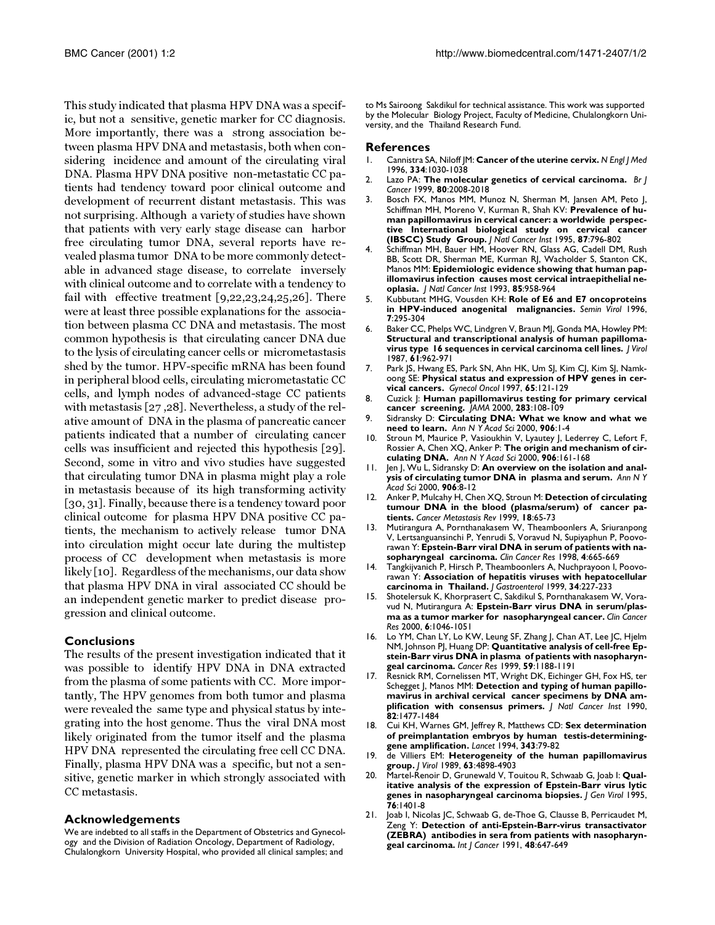This study indicated that plasma HPV DNA was a specific, but not a sensitive, genetic marker for CC diagnosis. More importantly, there was a strong association between plasma HPV DNA and metastasis, both when considering incidence and amount of the circulating viral DNA. Plasma HPV DNA positive non-metastatic CC patients had tendency toward poor clinical outcome and development of recurrent distant metastasis. This was not surprising. Although a variety of studies have shown that patients with very early stage disease can harbor free circulating tumor DNA, several reports have revealed plasma tumor DNA to be more commonly detectable in advanced stage disease, to correlate inversely with clinical outcome and to correlate with a tendency to fail with effective treatment [\[9](#page-6-8)[,22](#page-7-0),[23](#page-7-1)[,24](#page-7-2)[,25](#page-7-3)[,26](#page-7-4)]. There were at least three possible explanations for the association between plasma CC DNA and metastasis. The most common hypothesis is that circulating cancer DNA due to the lysis of circulating cancer cells or micrometastasis shed by the tumor. HPV-specific mRNA has been found in peripheral blood cells, circulating micrometastatic CC cells, and lymph nodes of advanced-stage CC patients with metastasis [\[27](#page-7-5) [,28\]](#page-7-6). Nevertheless, a study of the relative amount of DNA in the plasma of pancreatic cancer patients indicated that a number of circulating cancer cells was insufficient and rejected this hypothesis [[29\]](#page-7-7). Second, some in vitro and vivo studies have suggested that circulating tumor DNA in plasma might play a role in metastasis because of its high transforming activity [[30](#page-7-8), [31](#page-7-9)]. Finally, because there is a tendency toward poor clinical outcome for plasma HPV DNA positive CC patients, the mechanism to actively release tumor DNA into circulation might occur late during the multistep process of CC development when metastasis is more likely [[10](#page-6-9)]. Regardless of the mechanisms, our data show that plasma HPV DNA in viral associated CC should be an independent genetic marker to predict disease progression and clinical outcome.

#### **Conclusions**

The results of the present investigation indicated that it was possible to identify HPV DNA in DNA extracted from the plasma of some patients with CC. More importantly, The HPV genomes from both tumor and plasma were revealed the same type and physical status by integrating into the host genome. Thus the viral DNA most likely originated from the tumor itself and the plasma HPV DNA represented the circulating free cell CC DNA. Finally, plasma HPV DNA was a specific, but not a sensitive, genetic marker in which strongly associated with CC metastasis.

#### **Acknowledgements**

We are indebted to all staffs in the Department of Obstetrics and Gynecology and the Division of Radiation Oncology, Department of Radiology, Chulalongkorn University Hospital, who provided all clinical samples; and

to Ms Sairoong Sakdikul for technical assistance. This work was supported by the Molecular Biology Project, Faculty of Medicine, Chulalongkorn University, and the Thailand Research Fund.

#### **References**

- <span id="page-6-0"></span>1. [Cannistra SA, Niloff JM:](http://www.ncbi.nlm.nih.gov/entrez/query.fcgi?cmd=Retrieve&db=PubMed&dopt=Abstract&list_uids=8598842) **Cancer of the uterine cervix.** *N Engl J Med* 1996, **334**:1030-1038
- <span id="page-6-1"></span>2. [Lazo PA:](http://www.ncbi.nlm.nih.gov/entrez/query.fcgi?cmd=Retrieve&db=PubMed&dopt=Abstract&list_uids=10471054) **The molecular genetics of cervical carcinoma.** *Br J Cancer* 1999, **80**:2008-2018
- <span id="page-6-2"></span>3. [Bosch FX, Manos MM, Munoz N, Sherman M, Jansen AM, Peto J,](http://www.ncbi.nlm.nih.gov/entrez/query.fcgi?cmd=Retrieve&db=PubMed&dopt=Abstract&list_uids=7791229) [Schiffman MH, Moreno V, Kurman R, Shah KV:](http://www.ncbi.nlm.nih.gov/entrez/query.fcgi?cmd=Retrieve&db=PubMed&dopt=Abstract&list_uids=7791229) **Prevalence of human papillomavirus in cervical cancer: a worldwide perspective International biological study on cervical cancer (IBSCC) Study Group.** *J Natl Cancer Inst* 1995, **87**:796-802
- <span id="page-6-3"></span>4. [Schiffman MH, Bauer HM, Hoover RN, Glass AG, Cadell DM, Rush](http://www.ncbi.nlm.nih.gov/entrez/query.fcgi?cmd=Retrieve&db=PubMed&dopt=Abstract&list_uids=8388478) [BB, Scott DR, Sherman ME, Kurman RJ, Wacholder S, Stanton CK,](http://www.ncbi.nlm.nih.gov/entrez/query.fcgi?cmd=Retrieve&db=PubMed&dopt=Abstract&list_uids=8388478) [Manos MM:](http://www.ncbi.nlm.nih.gov/entrez/query.fcgi?cmd=Retrieve&db=PubMed&dopt=Abstract&list_uids=8388478) **Epidemiologic evidence showing that human papillomavirus infection causes most cervical intraepithelial neoplasia.** *J Natl Cancer Inst* 1993, **85**:958-964
- <span id="page-6-4"></span>5. Kubbutant MHG, Vousden KH: **Role of E6 and E7 oncoproteins in HPV-induced anogenital malignancies.** *Semin Virol* 1996, **7**:295-304
- <span id="page-6-5"></span>[6. Baker CC, Phelps WC, Lindgren V, Braun MJ, Gonda MA, Howley PM:](http://www.ncbi.nlm.nih.gov/entrez/query.fcgi?cmd=Retrieve&db=PubMed&dopt=Abstract&list_uids=3029430) **Structural and transcriptional analysis of human papillomavirus type 16 sequences in cervical carcinoma cell lines.** *J Virol* 1987, **61**:962-971
- <span id="page-6-6"></span>7. [Park JS, Hwang ES, Park SN, Ahn HK, Um SJ, Kim CJ, Kim SJ, Namk](http://www.ncbi.nlm.nih.gov/entrez/query.fcgi?cmd=Retrieve&db=PubMed&dopt=Abstract&list_uids=9103401)[oong SE:](http://www.ncbi.nlm.nih.gov/entrez/query.fcgi?cmd=Retrieve&db=PubMed&dopt=Abstract&list_uids=9103401) **Physical status and expression of HPV genes in cervical cancers.** *Gynecol Oncol* 1997, **65**:121-129
- <span id="page-6-7"></span>8. [Cuzick J:](http://www.ncbi.nlm.nih.gov/entrez/query.fcgi?cmd=Retrieve&db=PubMed&dopt=Abstract&list_uids=10632290) **Human papillomavirus testing for primary cervical cancer screening.** *JAMA* 2000, **283**:108-109
- <span id="page-6-8"></span>9. [Sidransky D:](http://www.ncbi.nlm.nih.gov/entrez/query.fcgi?cmd=Retrieve&db=PubMed&dopt=Abstract&list_uids=10818585) **Circulating DNA: What we know and what we need to learn.** *Ann N Y Acad Sci* 2000, **906**:1-4
- <span id="page-6-9"></span>Stroun M, Maurice P, Vasioukhin V, Lyautey J, Lederrey C, Lefort F, [Rossier A, Chen XQ, Anker P:](http://www.ncbi.nlm.nih.gov/entrez/query.fcgi?cmd=Retrieve&db=PubMed&dopt=Abstract&list_uids=10818614) **The origin and mechanism of circulating DNA.** *Ann N Y Acad Sci* 2000, **906**:161-168
- <span id="page-6-10"></span>11. [Jen J, Wu L, Sidransky D:](http://www.ncbi.nlm.nih.gov/entrez/query.fcgi?cmd=Retrieve&db=PubMed&dopt=Abstract&list_uids=10818587) **An overview on the isolation and analysis of circulating tumor DNA in plasma and serum.** *Ann N Y Acad Sci* 2000, **906**:8-12
- <span id="page-6-11"></span>12. [Anker P, Mulcahy H, Chen XQ, Stroun M:](http://www.ncbi.nlm.nih.gov/entrez/query.fcgi?cmd=Retrieve&db=PubMed&dopt=Abstract&list_uids=10505546) **Detection of circulating tumour DNA in the blood (plasma/serum) of cancer patients.** *Cancer Metastasis Rev* 1999, **18**:65-73
- <span id="page-6-12"></span>13. [Mutirangura A, Pornthanakasem W, Theamboonlers A, Sriuranpong](http://www.ncbi.nlm.nih.gov/entrez/query.fcgi?cmd=Retrieve&db=PubMed&dopt=Abstract&list_uids=9533535) [V, Lertsanguansinchi P, Yenrudi S, Voravud N, Supiyaphun P, Poovo](http://www.ncbi.nlm.nih.gov/entrez/query.fcgi?cmd=Retrieve&db=PubMed&dopt=Abstract&list_uids=9533535)[rawan Y:](http://www.ncbi.nlm.nih.gov/entrez/query.fcgi?cmd=Retrieve&db=PubMed&dopt=Abstract&list_uids=9533535) **Epstein-Barr viral DNA in serum of patients with nasopharyngeal carcinoma.** *Clin Cancer Res* 1998, **4**:665-669
- <span id="page-6-13"></span>14. [Tangkijvanich P, Hirsch P, Theamboonlers A, Nuchprayoon I, Poovo](http://www.ncbi.nlm.nih.gov/entrez/query.fcgi?cmd=Retrieve&db=PubMed&dopt=Abstract&list_uids=10213123)[rawan Y:](http://www.ncbi.nlm.nih.gov/entrez/query.fcgi?cmd=Retrieve&db=PubMed&dopt=Abstract&list_uids=10213123) **Association of hepatitis viruses with hepatocellular carcinoma in Thailand.** *J Gastroenterol* 1999, **34**:227-233
- <span id="page-6-14"></span>15. [Shotelersuk K, Khorprasert C, Sakdikul S, Pornthanakasem W, Vora](http://www.ncbi.nlm.nih.gov/entrez/query.fcgi?cmd=Retrieve&db=PubMed&dopt=Abstract&list_uids=10741733)[vud N, Mutirangura A:](http://www.ncbi.nlm.nih.gov/entrez/query.fcgi?cmd=Retrieve&db=PubMed&dopt=Abstract&list_uids=10741733) **Epstein-Barr virus DNA in serum/plasma as a tumor marker for nasopharyngeal cancer.** *Clin Cancer Res* 2000, **6**:1046-1051
- <span id="page-6-15"></span>16. [Lo YM, Chan LY, Lo KW, Leung SF, Zhang J, Chan AT, Lee JC, Hjelm](http://www.ncbi.nlm.nih.gov/entrez/query.fcgi?cmd=Retrieve&db=PubMed&dopt=Abstract&list_uids=10096545) [NM, Johnson PJ, Huang DP:](http://www.ncbi.nlm.nih.gov/entrez/query.fcgi?cmd=Retrieve&db=PubMed&dopt=Abstract&list_uids=10096545) **Quantitative analysis of cell-free Epstein-Barr virus DNA in plasma of patients with nasopharyngeal carcinoma.** *Cancer Res* 1999, **59**:1188-1191
- <span id="page-6-16"></span>17. [Resnick RM, Cornelissen MT, Wright DK, Eichinger GH, Fox HS, ter](http://www.ncbi.nlm.nih.gov/entrez/query.fcgi?cmd=Retrieve&db=PubMed&dopt=Abstract&list_uids=2167986) [Schegget J, Manos MM:](http://www.ncbi.nlm.nih.gov/entrez/query.fcgi?cmd=Retrieve&db=PubMed&dopt=Abstract&list_uids=2167986) **Detection and typing of human papillomavirus in archival cervical cancer specimens by DNA amplification with consensus primers.** *J Natl Cancer Inst* 1990, **82**:1477-1484
- <span id="page-6-17"></span>18. [Cui KH, Warnes GM, Jeffrey R, Matthews CD:](http://www.ncbi.nlm.nih.gov/entrez/query.fcgi?cmd=Retrieve&db=PubMed&dopt=Abstract&list_uids=7903778) **Sex determination of preimplantation embryos by human testis-determininggene amplification.** *Lancet* 1994, **343**:79-82
- <span id="page-6-18"></span>19. [de Villiers EM:](http://www.ncbi.nlm.nih.gov/entrez/query.fcgi?cmd=Retrieve&db=PubMed&dopt=Abstract&list_uids=2552162) **Heterogeneity of the human papillomavirus group.** *J Virol* 1989, **63**:4898-4903
- <span id="page-6-19"></span>20. [Martel-Renoir D, Grunewald V, Touitou R, Schwaab G, Joab I:](http://www.ncbi.nlm.nih.gov/entrez/query.fcgi?cmd=Retrieve&db=PubMed&dopt=Abstract&list_uids=7782768) **Qualitative analysis of the expression of Epstein-Barr virus lytic genes in nasopharyngeal carcinoma biopsies.** *J Gen Virol* 1995, **76**:1401-8
- <span id="page-6-20"></span>21. [Joab I, Nicolas JC, Schwaab G, de-Thoe G, Clausse B, Perricaudet M,](http://www.ncbi.nlm.nih.gov/entrez/query.fcgi?cmd=Retrieve&db=PubMed&dopt=Abstract&list_uids=1649137) [Zeng Y:](http://www.ncbi.nlm.nih.gov/entrez/query.fcgi?cmd=Retrieve&db=PubMed&dopt=Abstract&list_uids=1649137) **Detection of anti-Epstein-Barr-virus transactivator (ZEBRA) antibodies in sera from patients with nasopharyngeal carcinoma.** *Int J Cancer* 1991, **48**:647-649